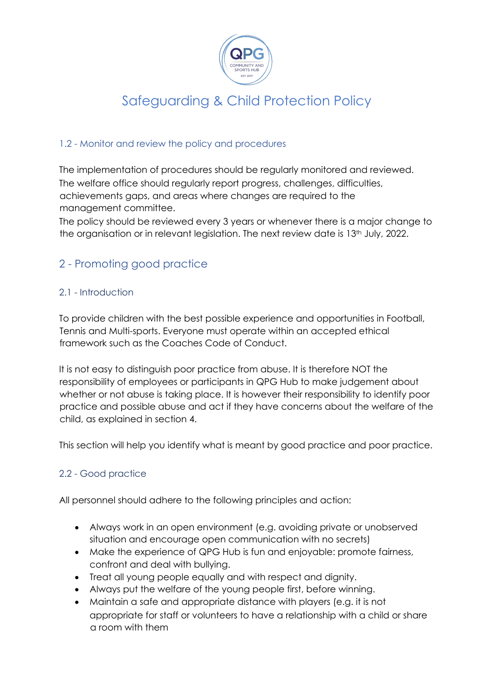

#### 1.2 - Monitor and review the policy and procedures

The implementation of procedures should be regularly monitored and reviewed. The welfare office should regularly report progress, challenges, difficulties, achievements gaps, and areas where changes are required to the management committee.

The policy should be reviewed every 3 years or whenever there is a major change to the organisation or in relevant legislation. The next review date is 13<sup>th</sup> July, 2022.

### 2 - Promoting good practice

#### 2.1 - Introduction

To provide children with the best possible experience and opportunities in Football, Tennis and Multi-sports. Everyone must operate within an accepted ethical framework such as the Coaches Code of Conduct.

It is not easy to distinguish poor practice from abuse. It is therefore NOT the responsibility of employees or participants in QPG Hub to make judgement about whether or not abuse is taking place. It is however their responsibility to identify poor practice and possible abuse and act if they have concerns about the welfare of the child, as explained in section 4.

This section will help you identify what is meant by good practice and poor practice.

#### 2.2 - Good practice

All personnel should adhere to the following principles and action:

- Always work in an open environment (e.g. avoiding private or unobserved situation and encourage open communication with no secrets)
- Make the experience of QPG Hub is fun and enjoyable: promote fairness, confront and deal with bullying.
- Treat all young people equally and with respect and dignity.
- Always put the welfare of the young people first, before winning.
- Maintain a safe and appropriate distance with players (e.g. it is not appropriate for staff or volunteers to have a relationship with a child or share a room with them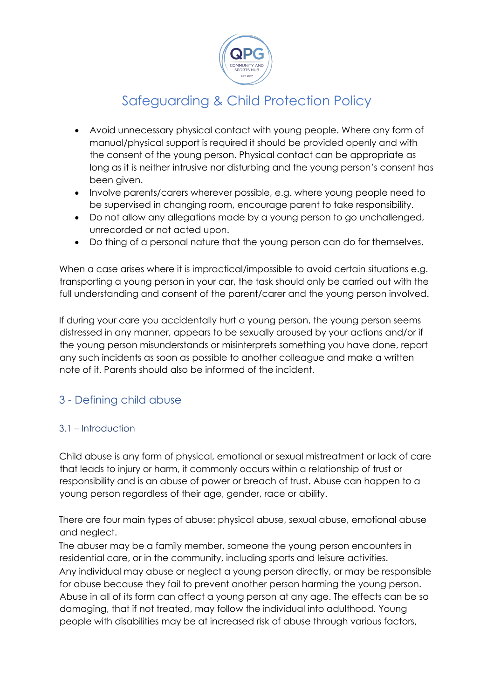

- Avoid unnecessary physical contact with young people. Where any form of manual/physical support is required it should be provided openly and with the consent of the young person. Physical contact can be appropriate as long as it is neither intrusive nor disturbing and the young person's consent has been given.
- Involve parents/carers wherever possible, e.g. where young people need to be supervised in changing room, encourage parent to take responsibility.
- Do not allow any allegations made by a young person to go unchallenged, unrecorded or not acted upon.
- Do thing of a personal nature that the young person can do for themselves.

When a case arises where it is impractical/impossible to avoid certain situations e.g. transporting a young person in your car, the task should only be carried out with the full understanding and consent of the parent/carer and the young person involved.

If during your care you accidentally hurt a young person, the young person seems distressed in any manner, appears to be sexually aroused by your actions and/or if the young person misunderstands or misinterprets something you have done, report any such incidents as soon as possible to another colleague and make a written note of it. Parents should also be informed of the incident.

### 3 - Defining child abuse

#### 3.1 – Introduction

Child abuse is any form of physical, emotional or sexual mistreatment or lack of care that leads to injury or harm, it commonly occurs within a relationship of trust or responsibility and is an abuse of power or breach of trust. Abuse can happen to a young person regardless of their age, gender, race or ability.

There are four main types of abuse: physical abuse, sexual abuse, emotional abuse and neglect.

The abuser may be a family member, someone the young person encounters in residential care, or in the community, including sports and leisure activities. Any individual may abuse or neglect a young person directly, or may be responsible for abuse because they fail to prevent another person harming the young person. Abuse in all of its form can affect a young person at any age. The effects can be so damaging, that if not treated, may follow the individual into adulthood. Young people with disabilities may be at increased risk of abuse through various factors,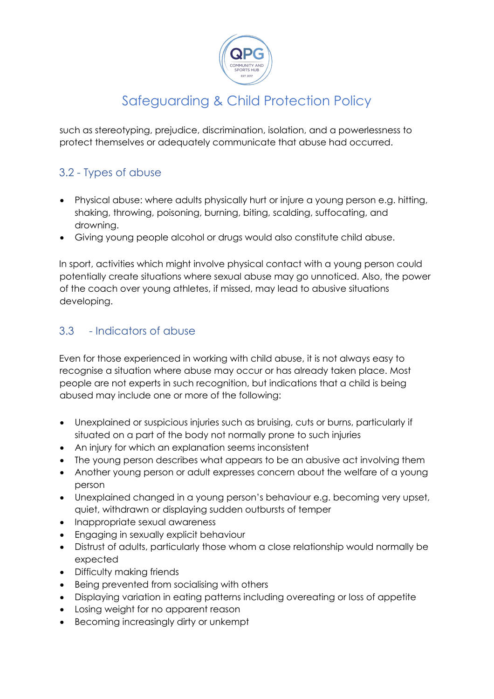

such as stereotyping, prejudice, discrimination, isolation, and a powerlessness to protect themselves or adequately communicate that abuse had occurred.

### 3.2 - Types of abuse

- Physical abuse: where adults physically hurt or injure a young person e.g. hitting, shaking, throwing, poisoning, burning, biting, scalding, suffocating, and drowning.
- Giving young people alcohol or drugs would also constitute child abuse.

In sport, activities which might involve physical contact with a young person could potentially create situations where sexual abuse may go unnoticed. Also, the power of the coach over young athletes, if missed, may lead to abusive situations developing.

### 3.3 - Indicators of abuse

Even for those experienced in working with child abuse, it is not always easy to recognise a situation where abuse may occur or has already taken place. Most people are not experts in such recognition, but indications that a child is being abused may include one or more of the following:

- Unexplained or suspicious injuries such as bruising, cuts or burns, particularly if situated on a part of the body not normally prone to such injuries
- An injury for which an explanation seems inconsistent
- The young person describes what appears to be an abusive act involving them
- Another young person or adult expresses concern about the welfare of a young person
- Unexplained changed in a young person's behaviour e.g. becoming very upset, quiet, withdrawn or displaying sudden outbursts of temper
- Inappropriate sexual awareness
- Engaging in sexually explicit behaviour
- Distrust of adults, particularly those whom a close relationship would normally be expected
- Difficulty making friends
- Being prevented from socialising with others
- Displaying variation in eating patterns including overeating or loss of appetite
- Losing weight for no apparent reason
- Becoming increasingly dirty or unkempt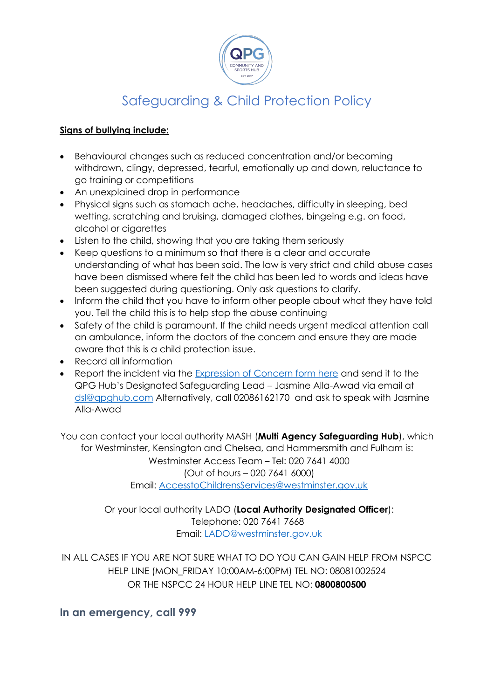

#### **Signs of bullying include:**

- Behavioural changes such as reduced concentration and/or becoming withdrawn, clingy, depressed, tearful, emotionally up and down, reluctance to go training or competitions
- An unexplained drop in performance
- Physical signs such as stomach ache, headaches, difficulty in sleeping, bed wetting, scratching and bruising, damaged clothes, bingeing e.g. on food, alcohol or cigarettes
- Listen to the child, showing that you are taking them seriously
- Keep questions to a minimum so that there is a clear and accurate understanding of what has been said. The law is very strict and child abuse cases have been dismissed where felt the child has been led to words and ideas have been suggested during questioning. Only ask questions to clarify.
- Inform the child that you have to inform other people about what they have told you. Tell the child this is to help stop the abuse continuing
- Safety of the child is paramount. If the child needs urgent medical attention call an ambulance, inform the doctors of the concern and ensure they are made aware that this is a child protection issue.
- Record all information
- Report the incident via the Expression of Concern form here and send it to the QPG Hub's Designated Safeguarding Lead – Jasmine Alla-Awad via email at dsl@qpghub.com Alternatively, call 02086162170 and ask to speak with Jasmine Alla-Awad

You can contact your local authority MASH (**Multi Agency Safeguarding Hub**), which for Westminster, Kensington and Chelsea, and Hammersmith and Fulham is: Westminster Access Team – Tel: 020 7641 4000 (Out of hours – 020 7641 6000) Email: AccesstoChildrensServices@westminster.gov.uk

> Or your local authority LADO (**Local Authority Designated Officer**): Telephone: 020 7641 7668 Email: LADO@westminster.gov.uk

IN ALL CASES IF YOU ARE NOT SURE WHAT TO DO YOU CAN GAIN HELP FROM NSPCC HELP LINE (MON\_FRIDAY 10:00AM-6:00PM) TEL NO: 08081002524 OR THE NSPCC 24 HOUR HELP LINE TEL NO: **0800800500**

**In an emergency, call 999**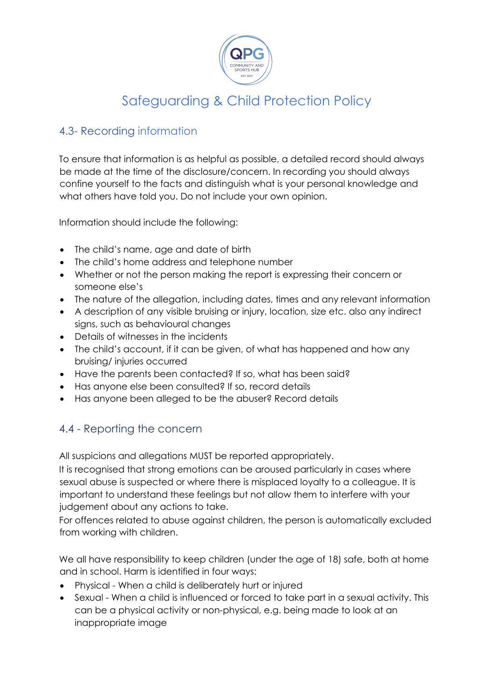

### 4.3- Recording information

To ensure that information is as helpful as possible, a detailed record should always be made at the time of the disclosure/concern. In recording you should always confine yourself to the facts and distinguish what is your personal knowledge and what others have told you. Do not include your own opinion.

Information should include the following:

- The child's name, age and date of birth
- The child's home address and telephone number
- Whether or not the person making the report is expressing their concern or someone else's
- The nature of the allegation, including dates, times and any relevant information
- A description of any visible bruising or injury, location, size etc. also any indirect signs, such as behavioural changes
- Details of witnesses in the incidents
- The child's account, if it can be given, of what has happened and how any bruising/ injuries occurred
- Have the parents been contacted? If so, what has been said?
- Has anyone else been consulted? If so, record details
- Has anyone been alleged to be the abuser? Record details

### 4.4 - Reporting the concern

All suspicions and allegations MUST be reported appropriately.

It is recognised that strong emotions can be aroused particularly in cases where sexual abuse is suspected or where there is misplaced loyalty to a colleague. It is important to understand these feelings but not allow them to interfere with your judgement about any actions to take.

For offences related to abuse against children, the person is automatically excluded from working with children.

We all have responsibility to keep children (under the age of 18) safe, both at home and in school. Harm is identified in four ways:

- Physical When a child is deliberately hurt or injured
- Sexual When a child is influenced or forced to take part in a sexual activity. This can be a physical activity or non-physical, e.g. being made to look at an inappropriate image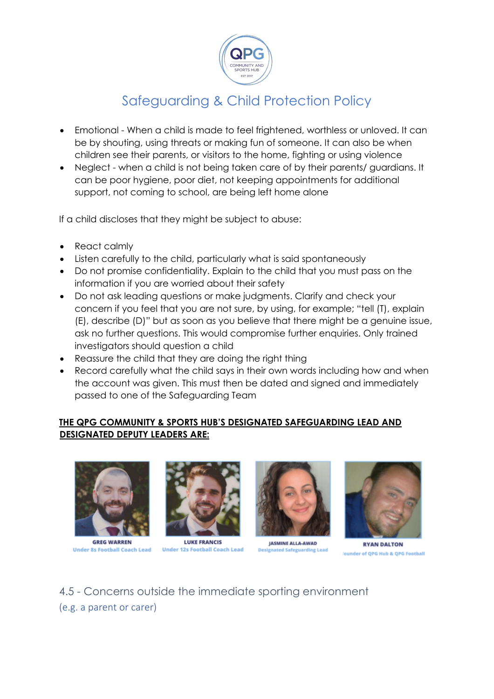

- Emotional When a child is made to feel frightened, worthless or unloved. It can be by shouting, using threats or making fun of someone. It can also be when children see their parents, or visitors to the home, fighting or using violence
- Neglect when a child is not being taken care of by their parents/ guardians. It can be poor hygiene, poor diet, not keeping appointments for additional support, not coming to school, are being left home alone

If a child discloses that they might be subject to abuse:

- React calmly
- Listen carefully to the child, particularly what is said spontaneously
- Do not promise confidentiality. Explain to the child that you must pass on the information if you are worried about their safety
- Do not ask leading questions or make judgments. Clarify and check your concern if you feel that you are not sure, by using, for example; "tell (T), explain (E), describe (D)" but as soon as you believe that there might be a genuine issue, ask no further questions. This would compromise further enquiries. Only trained investigators should question a child
- Reassure the child that they are doing the right thing
- Record carefully what the child says in their own words including how and when the account was given. This must then be dated and signed and immediately passed to one of the Safeguarding Team

#### **THE QPG COMMUNITY & SPORTS HUB'S DESIGNATED SAFEGUARDING LEAD AND DESIGNATED DEPUTY LEADERS ARE:**



**GREG WARREN Under 8s Football Coach Lead** 



**LUKE FRANCIS Under 12s Football Coach Lead** 



**JASMINE ALLA-AWAD ted Safeguard** 



**RYAN DALTON** der of QPG Hub & QPG Football

## 4.5 - Concerns outside the immediate sporting environment (e.g. a parent or carer)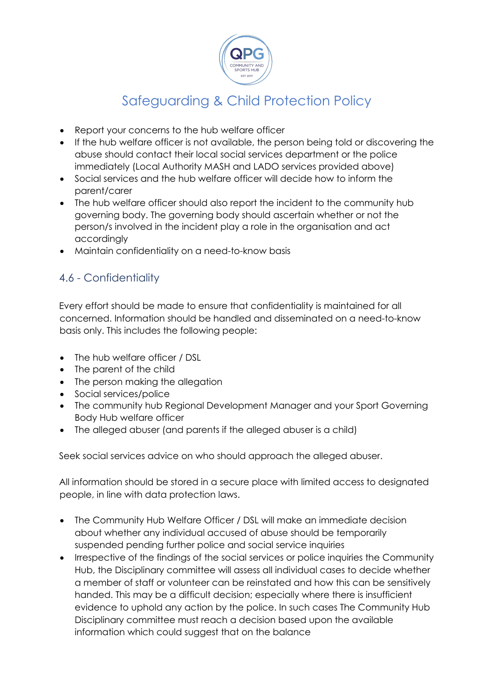

- Report your concerns to the hub welfare officer
- If the hub welfare officer is not available, the person being told or discovering the abuse should contact their local social services department or the police immediately (Local Authority MASH and LADO services provided above)
- Social services and the hub welfare officer will decide how to inform the parent/carer
- The hub welfare officer should also report the incident to the community hub governing body. The governing body should ascertain whether or not the person/s involved in the incident play a role in the organisation and act accordingly
- Maintain confidentiality on a need-to-know basis

### 4.6 - Confidentiality

Every effort should be made to ensure that confidentiality is maintained for all concerned. Information should be handled and disseminated on a need-to-know basis only. This includes the following people:

- The hub welfare officer / DSL
- The parent of the child
- The person making the allegation
- Social services/police
- The community hub Regional Development Manager and your Sport Governing Body Hub welfare officer
- The alleged abuser (and parents if the alleged abuser is a child)

Seek social services advice on who should approach the alleged abuser.

All information should be stored in a secure place with limited access to designated people, in line with data protection laws.

- The Community Hub Welfare Officer / DSL will make an immediate decision about whether any individual accused of abuse should be temporarily suspended pending further police and social service inquiries
- Irrespective of the findings of the social services or police inquiries the Community Hub, the Disciplinary committee will assess all individual cases to decide whether a member of staff or volunteer can be reinstated and how this can be sensitively handed. This may be a difficult decision; especially where there is insufficient evidence to uphold any action by the police. In such cases The Community Hub Disciplinary committee must reach a decision based upon the available information which could suggest that on the balance